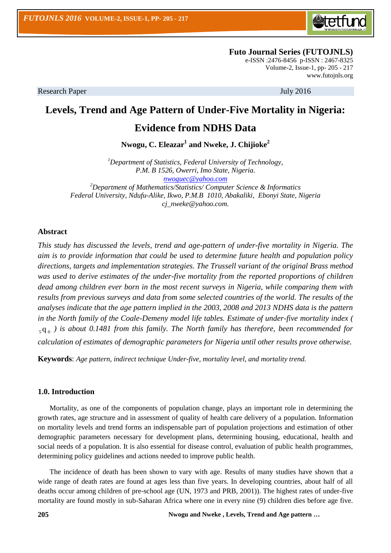

 **Futo Journal Series (FUTOJNLS)** e-ISSN :2476-8456 p-ISSN : 2467-8325 Volume-2, Issue-1, pp- 205 - 217 [www.futojnls.org](http://www.futojnls.org/)

Research Paper July 2016

# **Levels, Trend and Age Pattern of Under-Five Mortality in Nigeria:**

# **Evidence from NDHS Data**

**Nwogu, C. Eleazar<sup>1</sup> and Nweke, J. Chijioke<sup>2</sup>**

*<sup>1</sup>Department of Statistics, Federal University of Technology, P.M. B 1526, Owerri, Imo State, Nigeria. [nwoguec@yahoo.com](mailto:nwoguec@yahoo.com) <sup>2</sup>Department of Mathematics/Statistics/ Computer Science & Informatics*

*Federal University, Ndufu-Alike, Ikwo, P.M.B 1010, Abakaliki, Ebonyi State, Nigeria cj\_nweke@yahoo.com.*

### **Abstract**

*This study has discussed the levels, trend and age-pattern of under-five mortality in Nigeria. The aim is to provide information that could be used to determine future health and population policy directions, targets and implementation strategies. The Trussell variant of the original Brass method*  was used to derive estimates of the under-five mortality from the reported proportions of children *dead among children ever born in the most recent surveys in Nigeria, while comparing them with*  results from previous surveys and data from some selected countries of the world. The results of the *analyses indicate that the age pattern implied in the 2003, 2008 and 2013 NDHS data is the pattern in the North family of the Coale-Demeny model life tables. Estimate of under-five mortality index (*  $_5 q_0$ ) is about 0.1481 from this family. The North family has therefore, been recommended for *calculation of estimates of demographic parameters for Nigeria until other results prove otherwise.*

**Keywords**: *Age pattern, indirect technique Under-five, mortality level, and mortality trend.*

### **1.0. Introduction**

Mortality, as one of the components of population change, plays an important role in determining the growth rates, age structure and in assessment of quality of health care delivery of a population. Information on mortality levels and trend forms an indispensable part of population projections and estimation of other demographic parameters necessary for development plans, determining housing, educational, health and social needs of a population. It is also essential for disease control, evaluation of public health programmes, determining policy guidelines and actions needed to improve public health.

The incidence of death has been shown to vary with age. Results of many studies have shown that a wide range of death rates are found at ages less than five years. In developing countries, about half of all deaths occur among children of pre-school age (UN, 1973 and PRB, 2001)). The highest rates of under-five mortality are found mostly in sub-Saharan Africa where one in every nine (9) children dies before age five.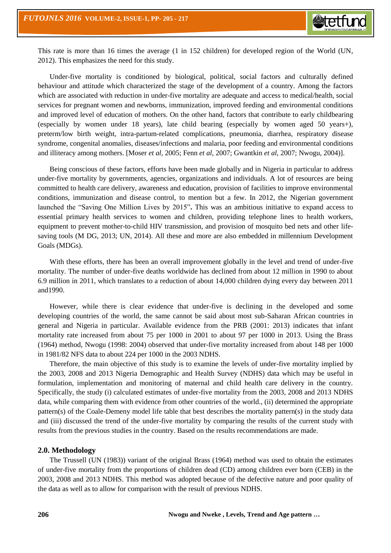

This rate is more than 16 times the average (1 in 152 children) for developed region of the World (UN, 2012). This emphasizes the need for this study.

Under-five mortality is conditioned by biological, political, social factors and culturally defined behaviour and attitude which characterized the stage of the development of a country. Among the factors which are associated with reduction in under-five mortality are adequate and access to medical/health, social services for pregnant women and newborns, immunization, improved feeding and environmental conditions and improved level of education of mothers. On the other hand, factors that contribute to early childbearing (especially by women under 18 years), late child bearing (especially by women aged 50 years+), preterm/low birth weight, intra-partum-related complications, pneumonia, diarrhea, respiratory disease syndrome, congenital anomalies, diseases/infections and malaria, poor feeding and environmental conditions and illiteracy among mothers. [Moser *et al*, 2005; Fenn *et al*, 2007; Gwantkin *et al*, 2007; Nwogu, 2004)].

Being conscious of these factors, efforts have been made globally and in Nigeria in particular to address under-five mortality by governments, agencies, organizations and individuals. A lot of resources are being committed to health care delivery, awareness and education, provision of facilities to improve environmental conditions, immunization and disease control, to mention but a few. In 2012, the Nigerian government launched the "Saving One Million Lives by 2015"**.** This was an ambitious initiative to expand access to essential primary health services to women and children, providing telephone lines to health workers, equipment to prevent mother-to-child HIV transmission, and provision of mosquito bed nets and other lifesaving tools (M DG, 2013; UN, 2014). All these and more are also embedded in millennium Development Goals (MDGs).

With these efforts, there has been an overall improvement globally in the level and trend of under-five mortality. The number of under-five deaths worldwide has declined from about 12 million in 1990 to about 6.9 million in 2011, which translates to a reduction of about 14,000 children dying every day between 2011 and1990.

However, while there is clear evidence that under-five is declining in the developed and some developing countries of the world, the same cannot be said about most sub-Saharan African countries in general and Nigeria in particular. Available evidence from the PRB (2001: 2013) indicates that infant mortality rate increased from about 75 per 1000 in 2001 to about 97 per 1000 in 2013. Using the Brass (1964) method, Nwogu (1998: 2004) observed that under-five mortality increased from about 148 per 1000 in 1981/82 NFS data to about 224 per 1000 in the 2003 NDHS.

Therefore, the main objective of this study is to examine the levels of under-five mortality implied by the 2003, 2008 and 2013 Nigeria Demographic and Health Survey (NDHS) data which may be useful in formulation, implementation and monitoring of maternal and child health care delivery in the country. Specifically, the study (i) calculated estimates of under-five mortality from the 2003, 2008 and 2013 NDHS data, while comparing them with evidence from other countries of the world., (ii) determined the appropriate pattern(s) of the Coale-Demeny model life table that best describes the mortality pattern(s) in the study data and (iii) discussed the trend of the under-five mortality by comparing the results of the current study with results from the previous studies in the country. Based on the results recommendations are made.

### **2.0. Methodology**

The Trussell (UN (1983)) variant of the original Brass (1964) method was used to obtain the estimates of under-five mortality from the proportions of children dead (CD) among children ever born (CEB) in the 2003, 2008 and 2013 NDHS. This method was adopted because of the defective nature and poor quality of the data as well as to allow for comparison with the result of previous NDHS.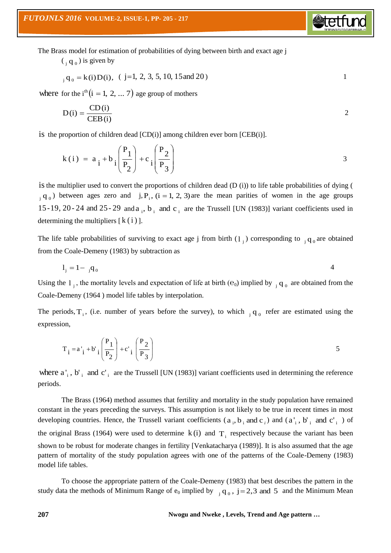The Brass model for estimation of probabilities of dying between birth and exact age j

 $\left(\begin{smallmatrix}1 & 0 \\ 0 & 1 \end{smallmatrix}\right)$  is given by

$$
{}_{j} q_{0} = k(i) D(i), \quad (j=1, 2, 3, 5, 10, 15 \text{ and } 20)
$$

**S**tetfu

where for the i<sup>th</sup>  $(i = 1, 2, ... 7)$  age group of mothers

$$
D(i) = \frac{CD(i)}{CEB(i)}
$$

is the proportion of children dead [CD(i)] among children ever born [CEB(i)].

$$
k(i) = a_{i} + b_{i} \left(\frac{P_{1}}{P_{2}}\right) + c_{i} \left(\frac{P_{2}}{P_{3}}\right)
$$

is the multiplier used to convert the proportions of children dead (D (i)) to life table probabilities of dying (  $j_i$  q  $_0$ ) between ages zero and  $j, P_i$ ,  $(i = 1, 2, 3)$  are the mean parities of women in the age groups 15-19, 20-24 and 25-29 and  $a_i$ ,  $b_i$  and  $c_i$  are the Trussell [UN (1983)] variant coefficients used in determining the multipliers  $[k(i)]$ .

The life table probabilities of surviving to exact age j from birth  $(1<sub>j</sub>)$  corresponding to  $<sub>j</sub>q<sub>0</sub>$  are obtained</sub> from the Coale-Demeny (1983) by subtraction as

$$
1_{j} = 1 - \,_{j} \mathbf{q}_{0} \tag{4}
$$

Using the  $l_j$ , the mortality levels and expectation of life at birth ( $e_0$ ) implied by  $l_j q_0$  are obtained from the Coale-Demeny (1964 ) model life tables by interpolation.

The periods,  $T_i$ , (i.e. number of years before the survey), to which  $T_i q_0$  refer are estimated using the expression,

$$
T_{i} = a'_{i} + b'_{i} \left(\frac{P_{1}}{P_{2}}\right) + c'_{i} \left(\frac{P_{2}}{P_{3}}\right)
$$

where  $a'_i$ ,  $b'_i$  and  $c'_i$  are the Trussell [UN (1983)] variant coefficients used in determining the reference periods.

The Brass (1964) method assumes that fertility and mortality in the study population have remained constant in the years preceding the surveys. This assumption is not likely to be true in recent times in most developing countries. Hence, the Trussell variant coefficients  $(a_i, b_i \text{ and } c_i)$  and  $(a'_i, b'_i \text{ and } c'_i)$  of the original Brass (1964) were used to determine  $k(i)$  and  $T_i$  respectively because the variant has been shown to be robust for moderate changes in fertility [Venkatacharya (1989)]. It is also assumed that the age pattern of mortality of the study population agrees with one of the patterns of the Coale-Demeny (1983) model life tables.

To choose the appropriate pattern of the Coale-Demeny (1983) that best describes the pattern in the study data the methods of Minimum Range of  $e_0$  implied by  $\bar{q}_0$ ,  $j = 2,3$  and 5 and the Minimum Mean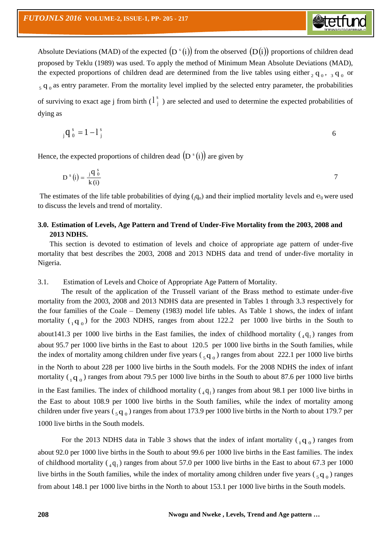Absolute Deviations (MAD) of the expected  $(D^s(i))$  from the observed  $(D(i))$  proportions of children dead proposed by Teklu (1989) was used. To apply the method of Minimum Mean Absolute Deviations (MAD), the expected proportions of children dead are determined from the live tables using either  $_2$  q<sub>0</sub>,  $_3$  q<sub>0</sub> or  $_5$  q<sub>0</sub> as entry parameter. From the mortality level implied by the selected entry parameter, the probabilities of surviving to exact age j from birth  $(1<sup>s</sup>)$  $\begin{bmatrix} 1 \end{bmatrix}$  are selected and used to determine the expected probabilities of dying as

**Stetfu** 

$$
{}_{j}q_{0}^{s}=1-1_{j}^{s}
$$

Hence, the expected proportions of children dead  $(D<sup>s</sup>(i))$  are given by

$$
D^{s}(i) = \frac{j q_0^{s}}{k(i)}
$$

The estimates of the life table probabilities of dying  $(q_0)$  and their implied mortality levels and  $\theta_0$  were used to discuss the levels and trend of mortality.

## **3.0. Estimation of Levels, Age Pattern and Trend of Under-Five Mortality from the 2003, 2008 and 2013 NDHS.**

This section is devoted to estimation of levels and choice of appropriate age pattern of under-five mortality that best describes the 2003, 2008 and 2013 NDHS data and trend of under-five mortality in Nigeria.

3.1. Estimation of Levels and Choice of Appropriate Age Pattern of Mortality.

The result of the application of the Trussell variant of the Brass method to estimate under-five mortality from the 2003, 2008 and 2013 NDHS data are presented in Tables 1 through 3.3 respectively for the four families of the Coale – Demeny (1983) model life tables. As Table 1 shows, the index of infant mortality  $({}_1q_0)$  for the 2003 NDHS, ranges from about 122.2 per 1000 live births in the South to about 141.3 per 1000 live births in the East families, the index of childhood mortality  $\binom{4}{4}$  ranges from about 95.7 per 1000 live births in the East to about 120.5 per 1000 live births in the South families, while the index of mortality among children under five years  $\left(\frac{1}{5}q_0\right)$  ranges from about 222.1 per 1000 live births in the North to about 228 per 1000 live births in the South models. For the 2008 NDHS the index of infant mortality  $\binom{1}{1}$  o ranges from about 79.5 per 1000 live births in the South to about 87.6 per 1000 live births in the East families. The index of childhood mortality  $(4q_1)$  ranges from about 98.1 per 1000 live births in the East to about 108.9 per 1000 live births in the South families, while the index of mortality among children under five years ( $_5$ q<sub>0</sub>) ranges from about 173.9 per 1000 live births in the North to about 179.7 per 1000 live births in the South models.

For the 2013 NDHS data in Table 3 shows that the index of infant mortality  $\binom{1}{1 \ 0}$  ranges from about 92.0 per 1000 live births in the South to about 99.6 per 1000 live births in the East families. The index of childhood mortality  $({}_4q_1)$  ranges from about 57.0 per 1000 live births in the East to about 67.3 per 1000 live births in the South families, while the index of mortality among children under five years  $(\,_5 q_0)$  ranges from about 148.1 per 1000 live births in the North to about 153.1 per 1000 live births in the South models.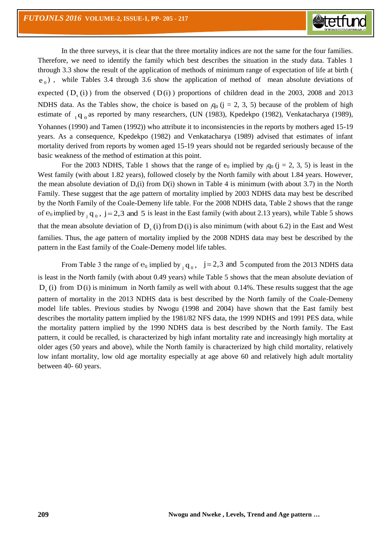

In the three surveys, it is clear that the three mortality indices are not the same for the four families. Therefore, we need to identify the family which best describes the situation in the study data. Tables 1 through 3.3 show the result of the application of methods of minimum range of expectation of life at birth ( e<sub>0</sub>), while Tables 3.4 through 3.6 show the application of method of mean absolute deviations of expected  $(D_s(i))$  from the observed  $(D(i))$  proportions of children dead in the 2003, 2008 and 2013 NDHS data. As the Tables show, the choice is based on  $_{i}q_{0}$  ( $j = 2, 3, 5$ ) because of the problem of high estimate of <sub>1</sub>q<sub>0</sub> as reported by many researchers, (UN (1983), Kpedekpo (1982), Venkatacharya (1989), Yohannes (1990) and Tamen (1992)) who attribute it to inconsistencies in the reports by mothers aged 15-19 years. As a consequence, Kpedekpo (1982) and Venkatacharya (1989) advised that estimates of infant mortality derived from reports by women aged 15-19 years should not be regarded seriously because of the basic weakness of the method of estimation at this point.

For the 2003 NDHS, Table 1 shows that the range of  $e_0$  implied by  $q_0$  (j = 2, 3, 5) is least in the West family (with about 1.82 years), followed closely by the North family with about 1.84 years. However, the mean absolute deviation of  $D<sub>s</sub>(i)$  from  $D(i)$  shown in Table 4 is minimum (with about 3.7) in the North Family. These suggest that the age pattern of mortality implied by 2003 NDHS data may best be described by the North Family of the Coale-Demeny life table. For the 2008 NDHS data, Table 2 shows that the range of  $e_0$  implied by  $_{j}$  q<sub>0</sub>,  $j = 2,3$  and 5 is least in the East family (with about 2.13 years), while Table 5 shows that the mean absolute deviation of  $D_s(i)$  from  $D(i)$  is also minimum (with about 6.2) in the East and West families. Thus, the age pattern of mortality implied by the 2008 NDHS data may best be described by the pattern in the East family of the Coale-Demeny model life tables.

From Table 3 the range of  $e_0$  implied by  $_{j} q_0$ ,  $j = 2,3$  and 5 computed from the 2013 NDHS data is least in the North family (with about 0.49 years) while Table 5 shows that the mean absolute deviation of  $D_s$  (i) from  $D(i)$  is minimum in North family as well with about 0.14%. These results suggest that the age pattern of mortality in the 2013 NDHS data is best described by the North family of the Coale-Demeny model life tables. Previous studies by Nwogu (1998 and 2004) have shown that the East family best describes the mortality pattern implied by the 1981/82 NFS data, the 1999 NDHS and 1991 PES data, while the mortality pattern implied by the 1990 NDHS data is best described by the North family. The East pattern, it could be recalled, is characterized by high infant mortality rate and increasingly high mortality at older ages (50 years and above), while the North family is characterized by high child mortality, relatively low infant mortality, low old age mortality especially at age above 60 and relatively high adult mortality between 40- 60 years.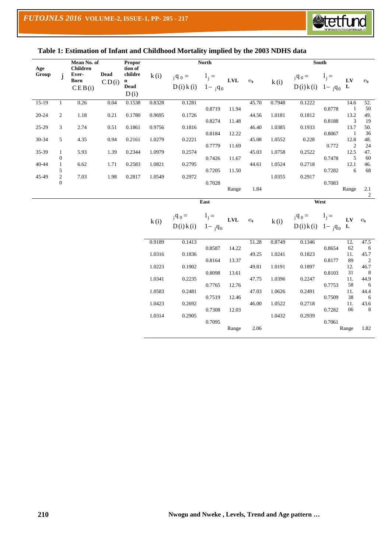

## **Table 1: Estimation of Infant and Childhood Mortality implied by the 2003 NDHS data**

| Mean No. of<br>Propor |                                  |                                                   | <b>North</b>         |                                                          |                  |                            |                        | <b>South</b>   |                |                  |                                                    |                  |                                                     |                                      |
|-----------------------|----------------------------------|---------------------------------------------------|----------------------|----------------------------------------------------------|------------------|----------------------------|------------------------|----------------|----------------|------------------|----------------------------------------------------|------------------|-----------------------------------------------------|--------------------------------------|
| Age<br>Group          | j                                | <b>Children</b><br>Ever-<br><b>Born</b><br>CEB(i) | <b>Dead</b><br>CD(i) | tion of<br>childre<br>$\mathbf n$<br><b>Dead</b><br>D(i) | k(i)             | $_{j}q_{0}$ =<br>D(i) k(i) | $1_{j} =$<br>$1 - q_0$ | ${\bf LVL}$    | $\mathbf{e}_0$ | k(i)             | $\mathbf{q}_0 =$<br>$D(i) k(i) 1 - q_0$            | $1_i =$          | ${\bf L}{\bf V}$<br>L                               | $\overline{e_0}$                     |
| $15-19$               | $\mathbf{1}$                     | 0.26                                              | 0.04                 | 0.1538                                                   | 0.8328           | 0.1281                     |                        |                | 45.70          | 0.7948           | 0.1222                                             |                  | 14.6                                                | 52.                                  |
| $20 - 24$             | $\mathfrak{2}$                   | 1.18                                              | 0.21                 | 0.1780                                                   | 0.9695           | 0.1726                     | 0.8719<br>0.8274       | 11.94<br>11.48 | 44.56          | 1.0181           | 0.1812                                             | 0.8778<br>0.8188 | $\mathbf{1}$<br>13.2<br>$\ensuremath{\mathfrak{Z}}$ | 50<br>49.<br>19                      |
| 25-29                 | 3                                | 2.74                                              | 0.51                 | 0.1861                                                   | 0.9756           | 0.1816                     | 0.8184                 | 12.22          | 46.40          | 1.0385           | 0.1933                                             | 0.8067           | 13.7<br>$\mathbf{1}$                                | 50.<br>36                            |
| 30-34                 | 5                                | 4.35                                              | 0.94                 | 0.2161                                                   | 1.0279           | 0.2221                     | 0.7779                 | 11.69          | 45.08          | 1.0552           | 0.228                                              | 0.772            | 12.8<br>$\overline{c}$                              | 48.<br>24                            |
| 35-39                 | $\mathbf{1}$<br>$\boldsymbol{0}$ | 5.93                                              | 1.39                 | 0.2344                                                   | 1.0979           | 0.2574                     | 0.7426                 | 11.67          | 45.03          | 1.0758           | 0.2522                                             | 0.7478           | 12.5<br>5                                           | 47.<br>60                            |
| 40-44                 | $\mathbf{1}$<br>5                | 6.62                                              | 1.71                 | 0.2583                                                   | 1.0821           | 0.2795                     | 0.7205                 | 11.50          | 44.61          | 1.0524           | 0.2718                                             | 0.7282           | 12.1<br>6                                           | 46.<br>68                            |
| 45-49                 | $\sqrt{2}$<br>$\overline{0}$     | 7.03                                              | 1.98                 | 0.2817                                                   | 1.0549           | 0.2972                     | 0.7028                 | Range          | 1.84           | 1.0355           | 0.2917                                             | 0.7083           | Range                                               | $2.1\,$<br>$\overline{c}$            |
|                       |                                  |                                                   |                      |                                                          |                  |                            | East                   |                |                |                  | West                                               |                  |                                                     |                                      |
|                       |                                  |                                                   |                      |                                                          | k(i)             | $_{j}q_{0}$ =<br>D(i) k(i) | $1j =$<br>$1 - q_0$    | $\mathbf{LVL}$ | $e_0$          | k(i)             | $_{\rm j}$ q <sub>0</sub> =<br>$D(i) k(i) 1 - q_0$ | $1j =$           | ${\bf L}{\bf V}$<br>${\bf L}$                       | $e_0$                                |
|                       |                                  |                                                   |                      |                                                          | 0.9189           | 0.1413                     |                        |                | 51.28          | 0.8749           | 0.1346                                             |                  | 12.                                                 | 47.5                                 |
|                       |                                  |                                                   |                      |                                                          | 1.0316           | 0.1836                     | 0.8587<br>0.8164       | 14.22<br>13.37 | 49.25          | 1.0241           | 0.1823                                             | 0.8654<br>0.8177 | 62<br>11.<br>89                                     | 6<br>45.7<br>$\overline{\mathbf{c}}$ |
|                       |                                  |                                                   |                      |                                                          | 1.0223           | 0.1902                     | 0.8098                 | 13.61          | 49.81          | 1.0191           | 0.1897                                             | 0.8103           | 12.<br>31                                           | 46.7<br>8                            |
|                       |                                  |                                                   |                      |                                                          | 1.0341           | 0.2235                     | 0.7765                 | 12.76          | 47.75          | 1.0396           | 0.2247                                             | 0.7753           | 11.<br>58                                           | 44.9<br>6                            |
|                       |                                  |                                                   |                      |                                                          | 1.0583           | 0.2481                     | 0.7519                 | 12.46          | 47.03          | 1.0626           | 0.2491                                             | 0.7509           | 11.<br>38                                           | 44.4<br>6                            |
|                       |                                  |                                                   |                      |                                                          | 1.0423<br>1.0314 | 0.2692<br>0.2905           | 0.7308                 | 12.03          | 46.00          | 1.0522<br>1.0432 | 0.2718<br>0.2939                                   | 0.7282           | 11.<br>06                                           | 43.6<br>8                            |
|                       |                                  |                                                   |                      |                                                          |                  |                            | 0.7095                 | Range          | 2.06           |                  |                                                    | 0.7061           | Range                                               | 1.82                                 |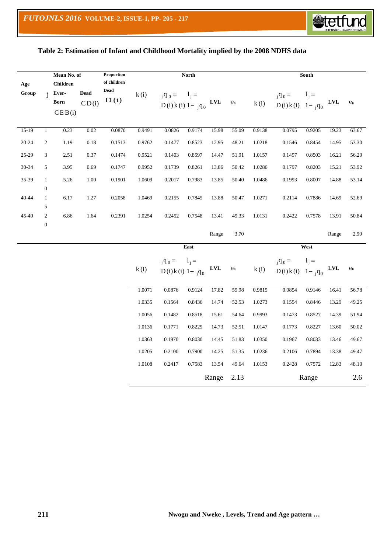

## **Table 2: Estimation of Infant and Childhood Mortality implied by the 2008 NDHS data**

| Mean No. of  |                                           | Proportion<br>of children                         | <b>North</b>         |                     |        |                                                    |         | South                     |                |        |                                |           |                |                  |
|--------------|-------------------------------------------|---------------------------------------------------|----------------------|---------------------|--------|----------------------------------------------------|---------|---------------------------|----------------|--------|--------------------------------|-----------|----------------|------------------|
| Age<br>Group |                                           | <b>Children</b><br>Ever-<br><b>Born</b><br>CEB(i) | <b>Dead</b><br>CD(i) | <b>Dead</b><br>D(i) | k(i)   | $_{j}q_{0} = 1_{j} =$<br>$D(i) k(i) 1 - q_0$       |         | $\ensuremath{\text{LVL}}$ | $\mathbf{e}_0$ | k(i)   | $q_0 =$<br>$D(i) k(i) 1 - q_0$ | $1_{i} =$ | ${\bf LVL}$    | $e_0$            |
| $15-19$      | $\mathbf{1}$                              | 0.23                                              | 0.02                 | 0.0870              | 0.9491 | 0.0826                                             | 0.9174  | 15.98                     | 55.09          | 0.9138 | 0.0795                         | 0.9205    | 19.23          | 63.67            |
| 20-24        | $\mathbf{2}$                              | 1.19                                              | $0.18\,$             | 0.1513              | 0.9762 | 0.1477                                             | 0.8523  | 12.95                     | 48.21          | 1.0218 | 0.1546                         | 0.8454    | 14.95          | 53.30            |
| 25-29        | 3                                         | 2.51                                              | 0.37                 | 0.1474              | 0.9521 | 0.1403                                             | 0.8597  | 14.47                     | 51.91          | 1.0157 | 0.1497                         | 0.8503    | 16.21          | 56.29            |
| 30-34        | 5                                         | 3.95                                              | 0.69                 | 0.1747              | 0.9952 | 0.1739                                             | 0.8261  | 13.86                     | 50.42          | 1.0286 | 0.1797                         | 0.8203    | 15.21          | 53.92            |
| 35-39        | $\mathbf{1}$                              | 5.26                                              | 1.00                 | 0.1901              | 1.0609 | 0.2017                                             | 0.7983  | 13.85                     | 50.40          | 1.0486 | 0.1993                         | 0.8007    | 14.88          | 53.14            |
| 40-44        | $\boldsymbol{0}$<br>$\mathbf{1}$          | 6.17                                              | 1.27                 | 0.2058              | 1.0469 | 0.2155                                             | 0.7845  | 13.88                     | 50.47          | 1.0271 | 0.2114                         | 0.7886    | 14.69          | 52.69            |
| 45-49        | 5<br>$\boldsymbol{2}$<br>$\boldsymbol{0}$ | 6.86                                              | 1.64                 | 0.2391              | 1.0254 | 0.2452                                             | 0.7548  | 13.41                     | 49.33          | 1.0131 | 0.2422                         | 0.7578    | 13.91          | 50.84            |
|              |                                           |                                                   |                      |                     |        |                                                    |         | Range                     | 3.70           |        |                                |           | Range          | 2.99             |
|              |                                           |                                                   |                      |                     |        |                                                    | East    |                           |                |        |                                | West      |                |                  |
|              |                                           |                                                   |                      |                     | k(i)   | $_{\rm j}$ q <sub>0</sub> =<br>$D(i) k(i) 1 - q_0$ | $1_i =$ | $\ensuremath{\text{LVL}}$ | $\mathbf{e}_0$ | k(i)   | $q_0 =$<br>$D(i) k(i) 1 - q_0$ | $1j =$    | $\mathbf{LVL}$ | $\overline{e}_0$ |
|              |                                           |                                                   |                      |                     | 1.0071 | 0.0876                                             | 0.9124  | 17.82                     | 59.98          | 0.9815 | 0.0854                         | 0.9146    | 16.41          | 56.78            |
|              |                                           |                                                   |                      |                     | 1.0335 | 0.1564                                             | 0.8436  | 14.74                     | 52.53          | 1.0273 | 0.1554                         | 0.8446    | 13.29          | 49.25            |
|              |                                           |                                                   |                      |                     | 1.0056 | 0.1482                                             | 0.8518  | 15.61                     | 54.64          | 0.9993 | 0.1473                         | 0.8527    | 14.39          | 51.94            |
|              |                                           |                                                   |                      |                     | 1.0136 | 0.1771                                             | 0.8229  | 14.73                     | 52.51          | 1.0147 | 0.1773                         | 0.8227    | 13.60          | 50.02            |
|              |                                           |                                                   |                      |                     | 1.0363 | 0.1970                                             | 0.8030  | 14.45                     | 51.83          | 1.0350 | 0.1967                         | 0.8033    | 13.46          | 49.67            |
|              |                                           |                                                   |                      |                     | 1.0205 | 0.2100                                             | 0.7900  | 14.25                     | 51.35          | 1.0236 | 0.2106                         | 0.7894    | 13.38          | 49.47            |
|              |                                           |                                                   |                      |                     | 1.0108 | 0.2417                                             | 0.7583  | 13.54                     | 49.64          | 1.0153 | 0.2428                         | 0.7572    | 12.83          | 48.10            |
|              |                                           |                                                   |                      |                     |        |                                                    |         | Range                     | 2.13           |        |                                | Range     |                | 2.6              |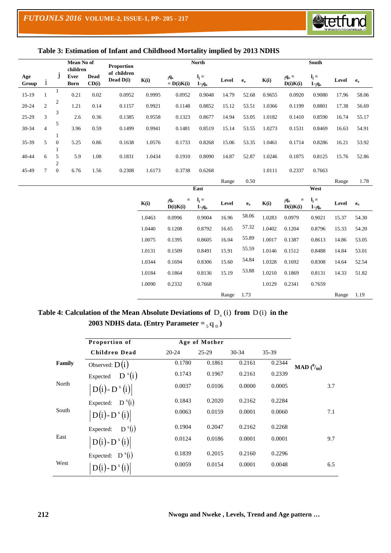

## **Table 3: Estimation of Infant and Childhood Mortality implied by 2013 NDHS**

|              |                |                                  | Mean No of<br>children |               | Proportion               |        |                        | <b>North</b>                  |       |         |        |                                   | South                         |       |                         |
|--------------|----------------|----------------------------------|------------------------|---------------|--------------------------|--------|------------------------|-------------------------------|-------|---------|--------|-----------------------------------|-------------------------------|-------|-------------------------|
| Age<br>Group | $\mathbf{1}$   |                                  | Ever<br><b>Born</b>    | Dead<br>CD(i) | of children<br>Dead D(i) | K(i)   | jqo<br>$= D(i)K(i)$    | $\mathbf{l}_i =$<br>$1 - q_0$ | Level | $e_{o}$ | K(i)   | $_{\bf j}{\bf q_o} =$<br>D(i)K(i) | $\mathbf{l}_i =$<br>$1 - q_0$ | Level | $e_{o}$                 |
| $15-19$      | 1              | 1                                | 0.21                   | 0.02          | 0.0952                   | 0.9995 | 0.0952                 | 0.9048                        | 14.79 | 52.68   | 0.9655 | 0.0920                            | 0.9080                        | 17.96 | 58.06                   |
| $20 - 24$    | $\overline{2}$ | 2                                | 1.21                   | 0.14          | 0.1157                   | 0.9921 | 0.1148                 | 0.8852                        | 15.12 | 53.51   | 1.0366 | 0.1199                            | 0.8801                        | 17.38 | 56.69                   |
| 25-29        | 3              | 3                                | 2.6                    | 0.36          | 0.1385                   | 0.9558 | 0.1323                 | 0.8677                        | 14.94 | 53.05   | 1.0182 | 0.1410                            | 0.8590                        | 16.74 | 55.17                   |
| 30-34        | $\overline{4}$ | 5                                | 3.96                   | 0.59          | 0.1499                   | 0.9941 | 0.1481                 | 0.8519                        | 15.14 | 53.55   | 1.0273 | 0.1531                            | 0.8469                        | 16.63 | 54.91                   |
| 35-39        | 5              | 1<br>$\boldsymbol{0}$<br>1       | 5.25                   | 0.86          | 0.1638                   | 1.0576 | 0.1733                 | 0.8268                        | 15.06 | 53.35   | 1.0461 | 0.1714                            | 0.8286                        | 16.21 | 53.92                   |
| $40 - 44$    | 6              | 5                                | 5.9                    | 1.08          | 0.1831                   | 1.0434 | 0.1910                 | 0.8090                        | 14.87 | 52.87   | 1.0246 | 0.1875                            | 0.8125                        | 15.76 | 52.86                   |
| 45-49        | $\tau$         | $\mathfrak{2}$<br>$\overline{0}$ | 6.76                   | 1.56          | 0.2308                   | 1.6173 | 0.3738                 | 0.6268                        |       |         | 1.0111 | 0.2337                            | 0.7663                        |       |                         |
|              |                |                                  |                        |               |                          |        |                        |                               | Range | 0.50    |        |                                   |                               | Range | 1.78                    |
|              |                |                                  |                        |               |                          |        |                        | East                          |       |         |        |                                   | West                          |       |                         |
|              |                |                                  |                        |               |                          | K(i)   | $=$<br>jqo<br>D(i)K(i) | $\mathbf{l}_i =$<br>$1 - q_0$ | Level | $e_0$   | K(i)   | $=$<br>jqo<br>D(i)K(i)            | $\mathbf{l}_i =$<br>$1 - q_0$ | Level | $\mathbf{e}_\mathrm{o}$ |
|              |                |                                  |                        |               |                          | 1.0463 | 0.0996                 | 0.9004                        | 16.96 | 58.06   | 1.0283 | 0.0979                            | 0.9021                        | 15.37 | 54.30                   |
|              |                |                                  |                        |               |                          | 1.0440 | 0.1208                 | 0.8792                        | 16.65 | 57.32   | 1.0402 | 0.1204                            | 0.8796                        | 15.33 | 54.20                   |
|              |                |                                  |                        |               |                          | 1.0075 | 0.1395                 | 0.8605                        | 16.04 | 55.89   | 1.0017 | 0.1387                            | 0.8613                        | 14.86 | 53.05                   |
|              |                |                                  |                        |               |                          | 1.0131 | 0.1509                 | 0.8491                        | 15.91 | 55.59   | 1.0146 | 0.1512                            | 0.8488                        | 14.84 | 53.01                   |
|              |                |                                  |                        |               |                          | 1.0344 | 0.1694                 | 0.8306                        | 15.60 | 54.84   | 1.0328 | 0.1692                            | 0.8308                        | 14.64 | 52.54                   |
|              |                |                                  |                        |               |                          | 1.0184 | 0.1864                 | 0.8136                        | 15.19 | 53.88   | 1.0210 | 0.1869                            | 0.8131                        | 14.33 | 51.82                   |
|              |                |                                  |                        |               |                          | 1.0090 | 0.2332                 | 0.7668                        |       |         | 1.0129 | 0.2341                            | 0.7659                        |       |                         |
|              |                |                                  |                        |               |                          |        |                        |                               | Range | 1.73    |        |                                   |                               | Range | 1.19                    |

# Table 4: Calculation of the Mean Absolute Deviations of  $D_s$  (i) from  $D(i)$  in the **2003 NDHS data. (Entry Parameter**  $=$  $_5$  **q**  $_0$ **)**

|        | Proportion of           |           | Age of Mother |           |         |                          |
|--------|-------------------------|-----------|---------------|-----------|---------|--------------------------|
|        | Children Dead           | $20 - 24$ | $25-29$       | $30 - 34$ | $35-39$ |                          |
| Family | Observed: $D(i)$        | 0.1780    | 0.1861        | 0.2161    | 0.2344  | <b>MAD</b> $(^{0}_{00})$ |
|        | $D^{s}(i)$<br>Expected  | 0.1743    | 0.1967        | 0.2161    | 0.2339  |                          |
| North  | $ D(i)-D^{s}(i) $       | 0.0037    | 0.0106        | 0.0000    | 0.0005  | 3.7                      |
|        | Expected: $D^{s}(i)$    | 0.1843    | 0.2020        | 0.2162    | 0.2284  |                          |
| South  | $ D(i)-D^{s}(i) $       | 0.0063    | 0.0159        | 0.0001    | 0.0060  | 7.1                      |
|        | $D^{s}(i)$<br>Expected: | 0.1904    | 0.2047        | 0.2162    | 0.2268  |                          |
| East   | $ D(i)-D^{s}(i) $       | 0.0124    | 0.0186        | 0.0001    | 0.0001  | 9.7                      |
|        | Expected: $D^{s}(i)$    | 0.1839    | 0.2015        | 0.2160    | 0.2296  |                          |
| West   | $D(i)$ - $D^s(i)$       | 0.0059    | 0.0154        | 0.0001    | 0.0048  | 6.5                      |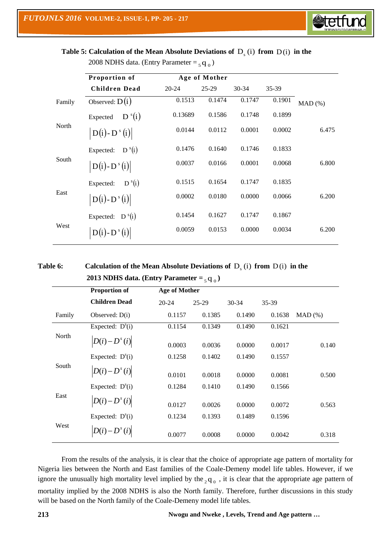

Table 5: Calculation of the Mean Absolute Deviations of  $D_s$  (i) from  $D(i)$  in the 2008 NDHS data. (Entry Parameter  $=$   $_5$  q  $_0$ )

|        | Proportion of           |           | Age of Mother |           |        |        |
|--------|-------------------------|-----------|---------------|-----------|--------|--------|
|        | Children Dead           | $20 - 24$ | $25-29$       | $30 - 34$ | 35-39  |        |
| Family | Observed: $D(i)$        | 0.1513    | 0.1474        | 0.1747    | 0.1901 | MAD(%) |
|        | $D^{s}(i)$<br>Expected  | 0.13689   | 0.1586        | 0.1748    | 0.1899 |        |
| North  | $D(i) - D^{s}(i)$       | 0.0144    | 0.0112        | 0.0001    | 0.0002 | 6.475  |
|        | $D^{s}(i)$<br>Expected: | 0.1476    | 0.1640        | 0.1746    | 0.1833 |        |
| South  | $D(i) - D^{s}(i)$       | 0.0037    | 0.0166        | 0.0001    | 0.0068 | 6.800  |
|        | $D^{s}(i)$<br>Expected: | 0.1515    | 0.1654        | 0.1747    | 0.1835 |        |
| East   | $D(i) - D^{s}(i)$       | 0.0002    | 0.0180        | 0.0000    | 0.0066 | 6.200  |
|        | Expected: $D^{s}(i)$    | 0.1454    | 0.1627        | 0.1747    | 0.1867 |        |
| West   | $D(i)$ - $D^s(i)$       | 0.0059    | 0.0153        | 0.0000    | 0.0034 | 6.200  |

# **Table 6:** Calculation of the Mean Absolute Deviations of D<sub>s</sub> (i) from D(i) in the **2013 NDHS data. (Entry Parameter**  $=$  $_5$  **q**  $_0$ **)**

|        | <b>Proportion of</b>         | <b>Age of Mother</b> |           |           |        |           |
|--------|------------------------------|----------------------|-----------|-----------|--------|-----------|
|        | <b>Children Dead</b>         | $20 - 24$            | $25 - 29$ | $30 - 34$ | 35-39  |           |
| Family | Observed: $D(i)$             | 0.1157               | 0.1385    | 0.1490    | 0.1638 | $MAD(\%)$ |
|        | Expected: $D^{s}(i)$         | 0.1154               | 0.1349    | 0.1490    | 0.1621 |           |
| North  | $D(i)-D^{s}(i)$              | 0.0003               | 0.0036    | 0.0000    | 0.0017 | 0.140     |
|        | Expected: $D^{s}(i)$         | 0.1258               | 0.1402    | 0.1490    | 0.1557 |           |
| South  | $D(i)-D^{s}(i)$              | 0.0101               | 0.0018    | 0.0000    | 0.0081 | 0.500     |
|        | Expected: $D^{s}(i)$         | 0.1284               | 0.1410    | 0.1490    | 0.1566 |           |
| East   | $\left D(i)-D^{s}(i)\right $ | 0.0127               | 0.0026    | 0.0000    | 0.0072 | 0.563     |
|        | Expected: $D^{s}(i)$         | 0.1234               | 0.1393    | 0.1489    | 0.1596 |           |
| West   | $D(i)-D^{s}(i)$              | 0.0077               | 0.0008    | 0.0000    | 0.0042 | 0.318     |

From the results of the analysis, it is clear that the choice of appropriate age pattern of mortality for Nigeria lies between the North and East families of the Coale-Demeny model life tables. However, if we ignore the unusually high mortality level implied by the  $_2$ q<sub>0</sub>, it is clear that the appropriate age pattern of mortality implied by the 2008 NDHS is also the North family. Therefore, further discussions in this study will be based on the North family of the Coale-Demeny model life tables.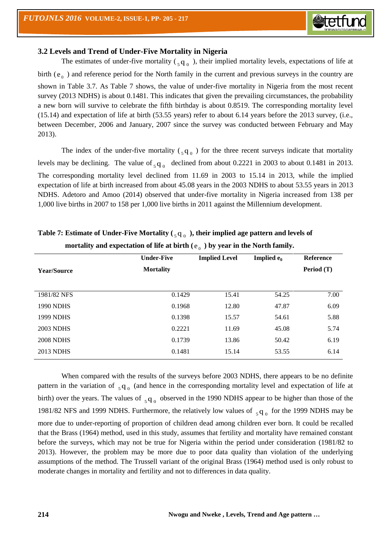

## **3.2 Levels and Trend of Under-Five Mortality in Nigeria**

The estimates of under-five mortality ( $_{5}q_{0}$ ), their implied mortality levels, expectations of life at birth  $(e_0)$  and reference period for the North family in the current and previous surveys in the country are shown in Table 3.7. As Table 7 shows, the value of under-five mortality in Nigeria from the most recent survey (2013 NDHS) is about 0.1481. This indicates that given the prevailing circumstances, the probability a new born will survive to celebrate the fifth birthday is about 0.8519. The corresponding mortality level (15.14) and expectation of life at birth (53.55 years) refer to about 6.14 years before the 2013 survey, (i.e., between December, 2006 and January, 2007 since the survey was conducted between February and May 2013).

The index of the under-five mortality  $\binom{q}{q}$  o for the three recent surveys indicate that mortality levels may be declining. The value of  $_{5}q_{0}$  declined from about 0.2221 in 2003 to about 0.1481 in 2013. The corresponding mortality level declined from 11.69 in 2003 to 15.14 in 2013, while the implied expectation of life at birth increased from about 45.08 years in the 2003 NDHS to about 53.55 years in 2013 NDHS. Adetoro and Amoo (2014) observed that under-five mortality in Nigeria increased from 138 per 1,000 live births in 2007 to 158 per 1,000 live births in 2011 against the Millennium development.

|                    | <b>Under-Five</b> | <b>Implied Level</b> | Implied $e_0$ | <b>Reference</b> |
|--------------------|-------------------|----------------------|---------------|------------------|
| <b>Year/Source</b> | <b>Mortality</b>  |                      |               | Period (T)       |
|                    |                   |                      |               |                  |
| 1981/82 NFS        | 0.1429            | 15.41                | 54.25         | 7.00             |
| <b>1990 NDHS</b>   | 0.1968            | 12.80                | 47.87         | 6.09             |
| 1999 NDHS          | 0.1398            | 15.57                | 54.61         | 5.88             |
| <b>2003 NDHS</b>   | 0.2221            | 11.69                | 45.08         | 5.74             |
| <b>2008 NDHS</b>   | 0.1739            | 13.86                | 50.42         | 6.19             |
| 2013 NDHS          | 0.1481            | 15.14                | 53.55         | 6.14             |

# **Table 7: Estimate of Under-Five Mortality (** <sup>5</sup> q <sup>0</sup> **), their implied age pattern and levels of**  mortality and expectation of life at birth ( $e_{\rm o}$ ) by year in the North family.

When compared with the results of the surveys before 2003 NDHS, there appears to be no definite pattern in the variation of  $_{5}q_{0}$  (and hence in the corresponding mortality level and expectation of life at birth) over the years. The values of  $_{5}q_{0}$  observed in the 1990 NDHS appear to be higher than those of the 1981/82 NFS and 1999 NDHS. Furthermore, the relatively low values of  $_{5}q_{0}$  for the 1999 NDHS may be more due to under-reporting of proportion of children dead among children ever born. It could be recalled that the Brass (1964) method, used in this study, assumes that fertility and mortality have remained constant before the surveys, which may not be true for Nigeria within the period under consideration (1981/82 to 2013). However, the problem may be more due to poor data quality than violation of the underlying assumptions of the method. The Trussell variant of the original Brass (1964) method used is only robust to moderate changes in mortality and fertility and not to differences in data quality.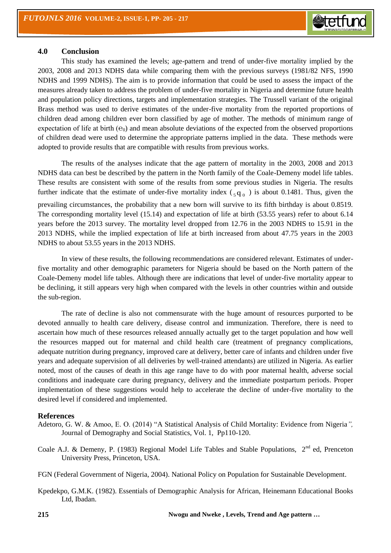

#### **4.0 Conclusion**

This study has examined the levels; age-pattern and trend of under-five mortality implied by the 2003, 2008 and 2013 NDHS data while comparing them with the previous surveys (1981/82 NFS, 1990 NDHS and 1999 NDHS). The aim is to provide information that could be used to assess the impact of the measures already taken to address the problem of under-five mortality in Nigeria and determine future health and population policy directions, targets and implementation strategies. The Trussell variant of the original Brass method was used to derive estimates of the under-five mortality from the reported proportions of children dead among children ever born classified by age of mother. The methods of minimum range of expectation of life at birth  $(e_0)$  and mean absolute deviations of the expected from the observed proportions of children dead were used to determine the appropriate patterns implied in the data. These methods were adopted to provide results that are compatible with results from previous works.

The results of the analyses indicate that the age pattern of mortality in the 2003, 2008 and 2013 NDHS data can best be described by the pattern in the North family of the Coale-Demeny model life tables. These results are consistent with some of the results from some previous studies in Nigeria. The results further indicate that the estimate of under-five mortality index  $\binom{q}{q}$  is about 0.1481. Thus, given the prevailing circumstances, the probability that a new born will survive to its fifth birthday is about 0.8519. The corresponding mortality level (15.14) and expectation of life at birth (53.55 years) refer to about 6.14 years before the 2013 survey. The mortality level dropped from 12.76 in the 2003 NDHS to 15.91 in the 2013 NDHS, while the implied expectation of life at birth increased from about 47.75 years in the 2003 NDHS to about 53.55 years in the 2013 NDHS.

In view of these results, the following recommendations are considered relevant. Estimates of underfive mortality and other demographic parameters for Nigeria should be based on the North pattern of the Coale-Demeny model life tables. Although there are indications that level of under-five mortality appear to be declining, it still appears very high when compared with the levels in other countries within and outside the sub-region.

The rate of decline is also not commensurate with the huge amount of resources purported to be devoted annually to health care delivery, disease control and immunization. Therefore, there is need to ascertain how much of these resources released annually actually get to the target population and how well the resources mapped out for maternal and child health care (treatment of pregnancy complications, adequate nutrition during pregnancy, improved care at delivery, better care of infants and children under five years and adequate supervision of all deliveries by well-trained attendants) are utilized in Nigeria. As earlier noted, most of the causes of death in this age range have to do with poor maternal health, adverse social conditions and inadequate care during pregnancy, delivery and the immediate postpartum periods. Proper implementation of these suggestions would help to accelerate the decline of under-five mortality to the desired level if considered and implemented.

### **References**

- Adetoro, G. W. & Amoo, E. O. (2014) "A Statistical Analysis of Child Mortality: Evidence from Nigeria*",* Journal of Demography and Social Statistics, Vol. 1, Pp110-120.
- Coale A.J. & Demeny, P. (1983) Regional Model Life Tables and Stable Populations,  $2<sup>nd</sup>$  ed, Prenceton University Press, Princeton, USA.

FGN (Federal Government of Nigeria, 2004). National Policy on Population for Sustainable Development.

Kpedekpo, G.M.K. (1982). Essentials of Demographic Analysis for African, Heinemann Educational Books Ltd, Ibadan.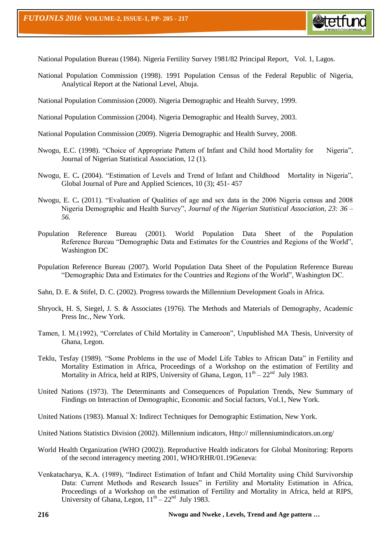

National Population Bureau (1984). Nigeria Fertility Survey 1981/82 Principal Report, Vol. 1, Lagos.

- National Population Commission (1998). 1991 Population Census of the Federal Republic of Nigeria, Analytical Report at the National Level, Abuja.
- National Population Commission (2000). Nigeria Demographic and Health Survey, 1999.
- National Population Commission (2004). Nigeria Demographic and Health Survey, 2003.
- National Population Commission (2009). Nigeria Demographic and Health Survey, 2008.
- Nwogu, E.C. (1998). "Choice of Appropriate Pattern of Infant and Child hood Mortality for Nigeria", Journal of Nigerian Statistical Association, 12 (1).
- Nwogu, E. C**.** (2004). "Estimation of Levels and Trend of Infant and Childhood Mortality in Nigeria", Global Journal of Pure and Applied Sciences, 10 (3); 451- 457
- Nwogu, E. C**.** (2011). "Evaluation of Qualities of age and sex data in the 2006 Nigeria census and 2008 Nigeria Demographic and Health Survey", *Journal of the Nigerian Statistical Association, 23: 36 – 56.*
- Population Reference Bureau (2001). World Population Data Sheet of the Population Reference Bureau "Demographic Data and Estimates for the Countries and Regions of the World", Washington DC
- Population Reference Bureau (2007). World Population Data Sheet of the Population Reference Bureau "Demographic Data and Estimates for the Countries and Regions of the World", Washington DC.
- Sahn, D. E. & Stifel, D. C. (2002). Progress towards the Millennium Development Goals in Africa.
- Shryock, H. S, Siegel, J. S. & Associates (1976). The Methods and Materials of Demography, Academic Press Inc., New York.
- Tamen, I. M.(1992), "Correlates of Child Mortality in Cameroon", Unpublished MA Thesis, University of Ghana, Legon.
- Teklu, Tesfay (1989). "Some Problems in the use of Model Life Tables to African Data" in Fertility and Mortality Estimation in Africa, Proceedings of a Workshop on the estimation of Fertility and Mortality in Africa, held at RIPS, University of Ghana, Legon,  $11^{th} - 22^{nd}$  July 1983.
- United Nations (1973). The Determinants and Consequences of Population Trends, New Summary of Findings on Interaction of Demographic, Economic and Social factors, Vol.1, New York.
- United Nations (1983). Manual X: Indirect Techniques for Demographic Estimation, New York.
- United Nations Statistics Division (2002). Millennium indicators, Http:// millenniumindicators.un.org/
- World Health Organization (WHO (2002)). Reproductive Health indicators for Global Monitoring: Reports of the second interagency meeting 2001, WHO/RHR/01.19Geneva:
- Venkatacharya, K.A. (1989), "Indirect Estimation of Infant and Child Mortality using Child Survivorship Data: Current Methods and Research Issues" in Fertility and Mortality Estimation in Africa, Proceedings of a Workshop on the estimation of Fertility and Mortality in Africa, held at RIPS, University of Ghana, Legon,  $11^{th} - 22^{nd}$  July 1983.